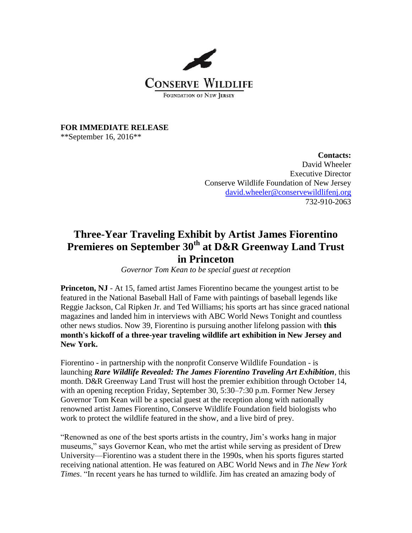

**FOR IMMEDIATE RELEASE**

\*\*September 16, 2016\*\*

**Contacts:** David Wheeler Executive Director Conserve Wildlife Foundation of New Jersey [david.wheeler@conservewildlifenj.org](mailto:david.wheeler@conservewildlifenj.org) 732-910-2063

## **Three-Year Traveling Exhibit by Artist James Fiorentino Premieres on September 30th at D&R Greenway Land Trust in Princeton**

*Governor Tom Kean to be special guest at reception*

**Princeton, NJ** - At 15, famed artist James Fiorentino became the youngest artist to be featured in the National Baseball Hall of Fame with paintings of baseball legends like Reggie Jackson, Cal Ripken Jr. and Ted Williams; his sports art has since graced national magazines and landed him in interviews with ABC World News Tonight and countless other news studios. Now 39, Fiorentino is pursuing another lifelong passion with **this month's kickoff of a three-year traveling wildlife art exhibition in New Jersey and New York.**

Fiorentino - in partnership with the nonprofit Conserve Wildlife Foundation - is launching *Rare Wildlife Revealed: The James Fiorentino Traveling Art Exhibition*, this month. D&R Greenway Land Trust will host the premier exhibition through October 14, with an opening reception Friday, September 30, 5:30–7:30 p.m. Former New Jersey Governor Tom Kean will be a special guest at the reception along with nationally renowned artist James Fiorentino, Conserve Wildlife Foundation field biologists who work to protect the wildlife featured in the show, and a live bird of prey.

"Renowned as one of the best sports artists in the country, Jim's works hang in major museums," says Governor Kean, who met the artist while serving as president of Drew University—Fiorentino was a student there in the 1990s, when his sports figures started receiving national attention. He was featured on ABC World News and in *The New York Times*. "In recent years he has turned to wildlife. Jim has created an amazing body of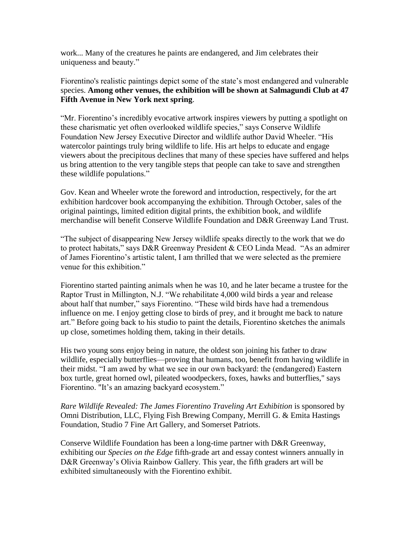work... Many of the creatures he paints are endangered, and Jim celebrates their uniqueness and beauty."

Fiorentino's realistic paintings depict some of the state's most endangered and vulnerable species. **Among other venues, the exhibition will be shown at Salmagundi Club at 47 Fifth Avenue in New York next spring**.

"Mr. Fiorentino's incredibly evocative artwork inspires viewers by putting a spotlight on these charismatic yet often overlooked wildlife species," says Conserve Wildlife Foundation New Jersey Executive Director and wildlife author David Wheeler. "His watercolor paintings truly bring wildlife to life. His art helps to educate and engage viewers about the precipitous declines that many of these species have suffered and helps us bring attention to the very tangible steps that people can take to save and strengthen these wildlife populations."

Gov. Kean and Wheeler wrote the foreword and introduction, respectively, for the art exhibition hardcover book accompanying the exhibition. Through October, sales of the original paintings, limited edition digital prints, the exhibition book, and wildlife merchandise will benefit Conserve Wildlife Foundation and D&R Greenway Land Trust.

"The subject of disappearing New Jersey wildlife speaks directly to the work that we do to protect habitats," says D&R Greenway President & CEO Linda Mead. "As an admirer of James Fiorentino's artistic talent, I am thrilled that we were selected as the premiere venue for this exhibition."

Fiorentino started painting animals when he was 10, and he later became a trustee for the Raptor Trust in Millington, N.J. "We rehabilitate 4,000 wild birds a year and release about half that number," says Fiorentino. "These wild birds have had a tremendous influence on me. I enjoy getting close to birds of prey, and it brought me back to nature art." Before going back to his studio to paint the details, Fiorentino sketches the animals up close, sometimes holding them, taking in their details.

His two young sons enjoy being in nature, the oldest son joining his father to draw wildlife, especially butterflies—proving that humans, too, benefit from having wildlife in their midst. "I am awed by what we see in our own backyard: the (endangered) Eastern box turtle, great horned owl, pileated woodpeckers, foxes, hawks and butterflies," says Fiorentino. "It's an amazing backyard ecosystem."

*Rare Wildlife Revealed: The James Fiorentino Traveling Art Exhibition* is sponsored by Omni Distribution, LLC, Flying Fish Brewing Company, Merrill G. & Emita Hastings Foundation, Studio 7 Fine Art Gallery, and Somerset Patriots.

Conserve Wildlife Foundation has been a long-time partner with D&R Greenway, exhibiting our *Species on the Edge* fifth-grade art and essay contest winners annually in D&R Greenway's Olivia Rainbow Gallery. This year, the fifth graders art will be exhibited simultaneously with the Fiorentino exhibit.